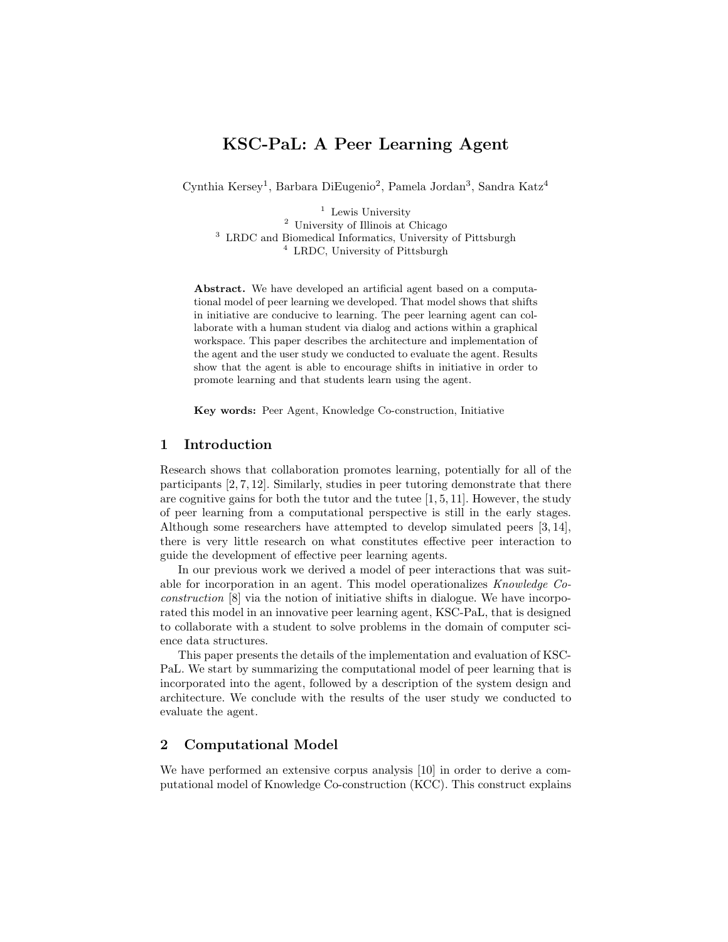# KSC-PaL: A Peer Learning Agent

Cynthia Kersey<sup>1</sup>, Barbara DiEugenio<sup>2</sup>, Pamela Jordan<sup>3</sup>, Sandra Katz<sup>4</sup>

<sup>1</sup> Lewis University University of Illinois at Chicago LRDC and Biomedical Informatics, University of Pittsburgh LRDC, University of Pittsburgh

Abstract. We have developed an artificial agent based on a computational model of peer learning we developed. That model shows that shifts in initiative are conducive to learning. The peer learning agent can collaborate with a human student via dialog and actions within a graphical workspace. This paper describes the architecture and implementation of the agent and the user study we conducted to evaluate the agent. Results show that the agent is able to encourage shifts in initiative in order to promote learning and that students learn using the agent.

Key words: Peer Agent, Knowledge Co-construction, Initiative

## 1 Introduction

Research shows that collaboration promotes learning, potentially for all of the participants [2, 7, 12]. Similarly, studies in peer tutoring demonstrate that there are cognitive gains for both the tutor and the tutee  $[1, 5, 11]$ . However, the study of peer learning from a computational perspective is still in the early stages. Although some researchers have attempted to develop simulated peers [3, 14], there is very little research on what constitutes effective peer interaction to guide the development of effective peer learning agents.

In our previous work we derived a model of peer interactions that was suitable for incorporation in an agent. This model operationalizes Knowledge Coconstruction [8] via the notion of initiative shifts in dialogue. We have incorporated this model in an innovative peer learning agent, KSC-PaL, that is designed to collaborate with a student to solve problems in the domain of computer science data structures.

This paper presents the details of the implementation and evaluation of KSC-PaL. We start by summarizing the computational model of peer learning that is incorporated into the agent, followed by a description of the system design and architecture. We conclude with the results of the user study we conducted to evaluate the agent.

# 2 Computational Model

We have performed an extensive corpus analysis [10] in order to derive a computational model of Knowledge Co-construction (KCC). This construct explains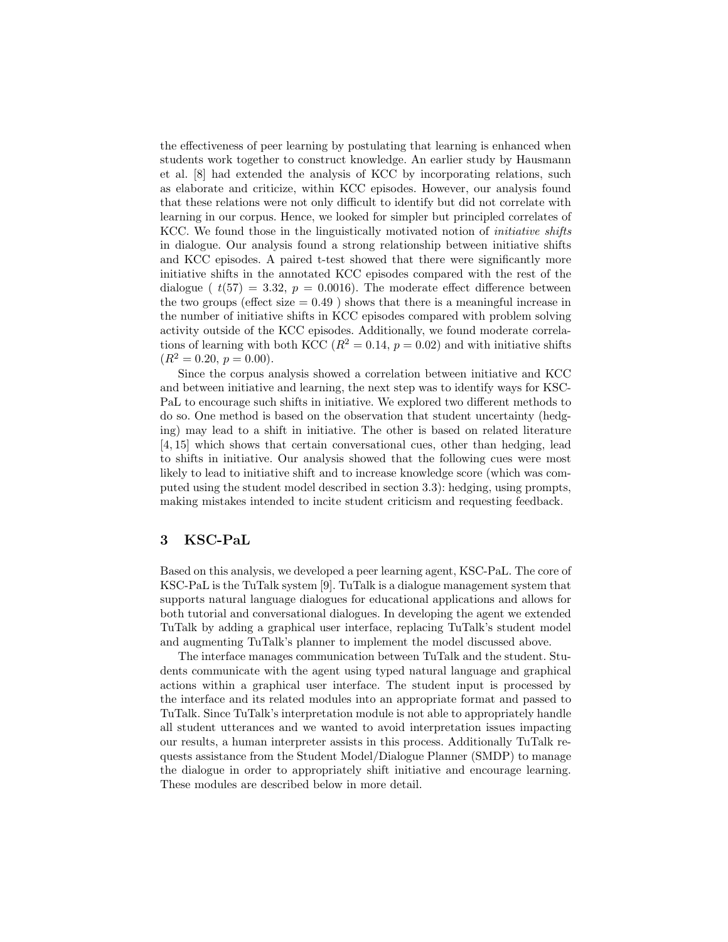the effectiveness of peer learning by postulating that learning is enhanced when students work together to construct knowledge. An earlier study by Hausmann et al. [8] had extended the analysis of KCC by incorporating relations, such as elaborate and criticize, within KCC episodes. However, our analysis found that these relations were not only difficult to identify but did not correlate with learning in our corpus. Hence, we looked for simpler but principled correlates of KCC. We found those in the linguistically motivated notion of initiative shifts in dialogue. Our analysis found a strong relationship between initiative shifts and KCC episodes. A paired t-test showed that there were significantly more initiative shifts in the annotated KCC episodes compared with the rest of the dialogue ( $t(57) = 3.32$ ,  $p = 0.0016$ ). The moderate effect difference between the two groups (effect size  $= 0.49$ ) shows that there is a meaningful increase in the number of initiative shifts in KCC episodes compared with problem solving activity outside of the KCC episodes. Additionally, we found moderate correlations of learning with both KCC ( $R^2 = 0.14$ ,  $p = 0.02$ ) and with initiative shifts  $(R^2 = 0.20, p = 0.00).$ 

Since the corpus analysis showed a correlation between initiative and KCC and between initiative and learning, the next step was to identify ways for KSC-PaL to encourage such shifts in initiative. We explored two different methods to do so. One method is based on the observation that student uncertainty (hedging) may lead to a shift in initiative. The other is based on related literature [4, 15] which shows that certain conversational cues, other than hedging, lead to shifts in initiative. Our analysis showed that the following cues were most likely to lead to initiative shift and to increase knowledge score (which was computed using the student model described in section 3.3): hedging, using prompts, making mistakes intended to incite student criticism and requesting feedback.

## 3 KSC-PaL

Based on this analysis, we developed a peer learning agent, KSC-PaL. The core of KSC-PaL is the TuTalk system [9]. TuTalk is a dialogue management system that supports natural language dialogues for educational applications and allows for both tutorial and conversational dialogues. In developing the agent we extended TuTalk by adding a graphical user interface, replacing TuTalk's student model and augmenting TuTalk's planner to implement the model discussed above.

The interface manages communication between TuTalk and the student. Students communicate with the agent using typed natural language and graphical actions within a graphical user interface. The student input is processed by the interface and its related modules into an appropriate format and passed to TuTalk. Since TuTalk's interpretation module is not able to appropriately handle all student utterances and we wanted to avoid interpretation issues impacting our results, a human interpreter assists in this process. Additionally TuTalk requests assistance from the Student Model/Dialogue Planner (SMDP) to manage the dialogue in order to appropriately shift initiative and encourage learning. These modules are described below in more detail.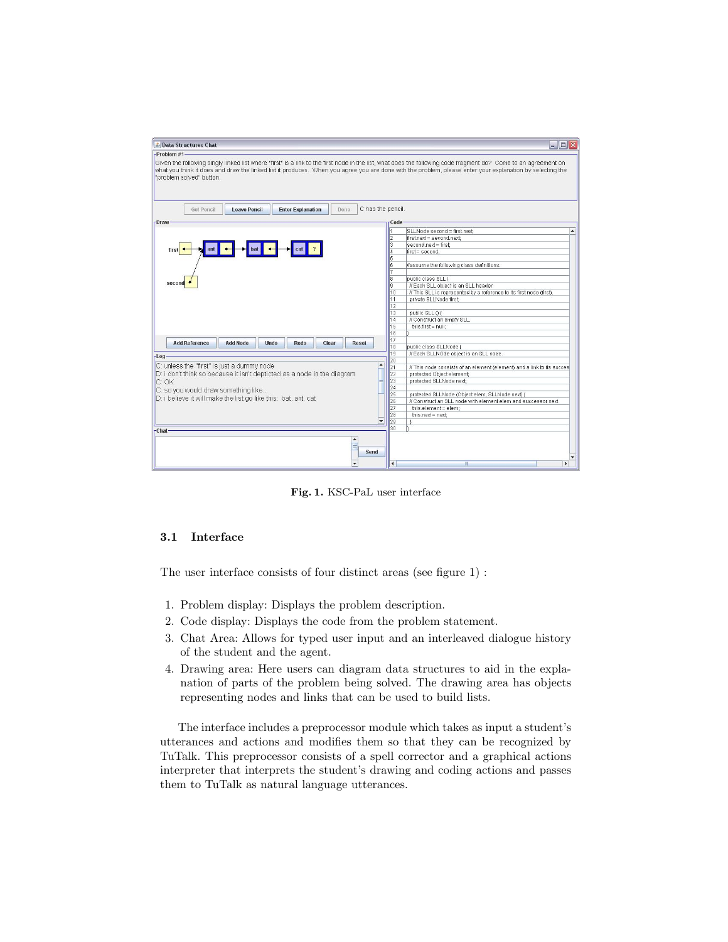

Fig. 1. KSC-PaL user interface

# 3.1 Interface

The user interface consists of four distinct areas (see figure 1) :

- 1. Problem display: Displays the problem description.
- 2. Code display: Displays the code from the problem statement.
- 3. Chat Area: Allows for typed user input and an interleaved dialogue history of the student and the agent.
- 4. Drawing area: Here users can diagram data structures to aid in the explanation of parts of the problem being solved. The drawing area has objects representing nodes and links that can be used to build lists.

The interface includes a preprocessor module which takes as input a student's utterances and actions and modifies them so that they can be recognized by TuTalk. This preprocessor consists of a spell corrector and a graphical actions interpreter that interprets the student's drawing and coding actions and passes them to TuTalk as natural language utterances.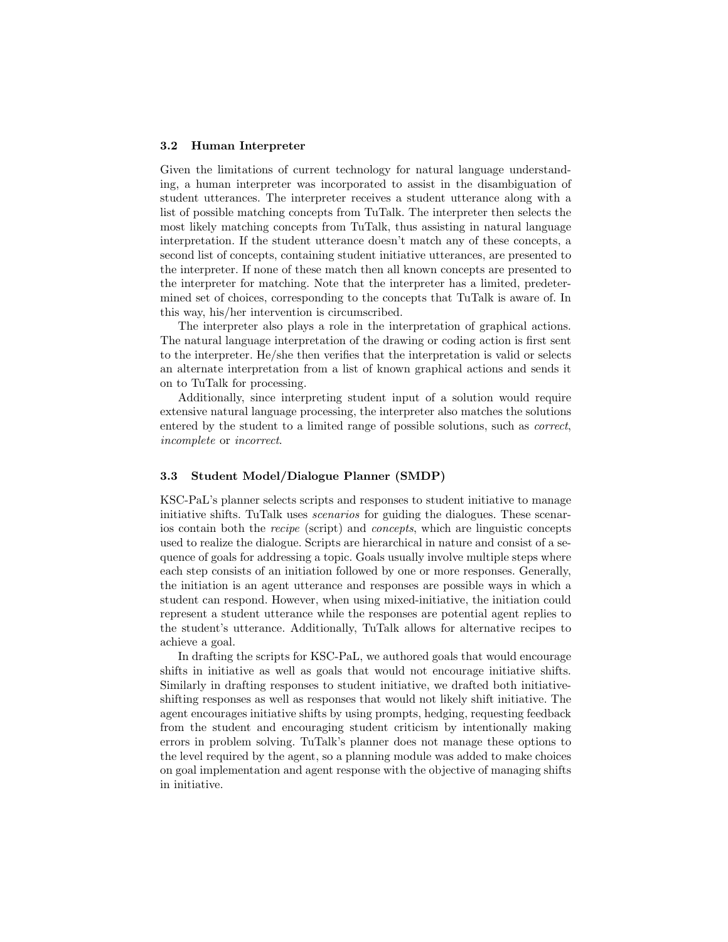#### 3.2 Human Interpreter

Given the limitations of current technology for natural language understanding, a human interpreter was incorporated to assist in the disambiguation of student utterances. The interpreter receives a student utterance along with a list of possible matching concepts from TuTalk. The interpreter then selects the most likely matching concepts from TuTalk, thus assisting in natural language interpretation. If the student utterance doesn't match any of these concepts, a second list of concepts, containing student initiative utterances, are presented to the interpreter. If none of these match then all known concepts are presented to the interpreter for matching. Note that the interpreter has a limited, predetermined set of choices, corresponding to the concepts that TuTalk is aware of. In this way, his/her intervention is circumscribed.

The interpreter also plays a role in the interpretation of graphical actions. The natural language interpretation of the drawing or coding action is first sent to the interpreter. He/she then verifies that the interpretation is valid or selects an alternate interpretation from a list of known graphical actions and sends it on to TuTalk for processing.

Additionally, since interpreting student input of a solution would require extensive natural language processing, the interpreter also matches the solutions entered by the student to a limited range of possible solutions, such as correct, incomplete or incorrect.

#### 3.3 Student Model/Dialogue Planner (SMDP)

KSC-PaL's planner selects scripts and responses to student initiative to manage initiative shifts. TuTalk uses *scenarios* for guiding the dialogues. These scenarios contain both the recipe (script) and concepts, which are linguistic concepts used to realize the dialogue. Scripts are hierarchical in nature and consist of a sequence of goals for addressing a topic. Goals usually involve multiple steps where each step consists of an initiation followed by one or more responses. Generally, the initiation is an agent utterance and responses are possible ways in which a student can respond. However, when using mixed-initiative, the initiation could represent a student utterance while the responses are potential agent replies to the student's utterance. Additionally, TuTalk allows for alternative recipes to achieve a goal.

In drafting the scripts for KSC-PaL, we authored goals that would encourage shifts in initiative as well as goals that would not encourage initiative shifts. Similarly in drafting responses to student initiative, we drafted both initiativeshifting responses as well as responses that would not likely shift initiative. The agent encourages initiative shifts by using prompts, hedging, requesting feedback from the student and encouraging student criticism by intentionally making errors in problem solving. TuTalk's planner does not manage these options to the level required by the agent, so a planning module was added to make choices on goal implementation and agent response with the objective of managing shifts in initiative.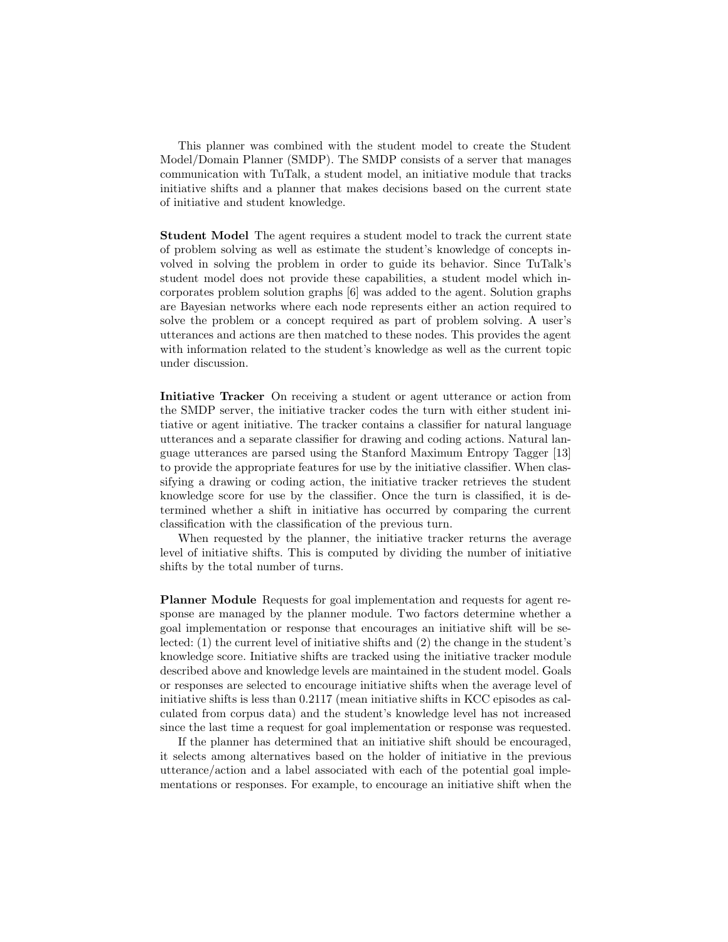This planner was combined with the student model to create the Student Model/Domain Planner (SMDP). The SMDP consists of a server that manages communication with TuTalk, a student model, an initiative module that tracks initiative shifts and a planner that makes decisions based on the current state of initiative and student knowledge.

Student Model The agent requires a student model to track the current state of problem solving as well as estimate the student's knowledge of concepts involved in solving the problem in order to guide its behavior. Since TuTalk's student model does not provide these capabilities, a student model which incorporates problem solution graphs [6] was added to the agent. Solution graphs are Bayesian networks where each node represents either an action required to solve the problem or a concept required as part of problem solving. A user's utterances and actions are then matched to these nodes. This provides the agent with information related to the student's knowledge as well as the current topic under discussion.

Initiative Tracker On receiving a student or agent utterance or action from the SMDP server, the initiative tracker codes the turn with either student initiative or agent initiative. The tracker contains a classifier for natural language utterances and a separate classifier for drawing and coding actions. Natural language utterances are parsed using the Stanford Maximum Entropy Tagger [13] to provide the appropriate features for use by the initiative classifier. When classifying a drawing or coding action, the initiative tracker retrieves the student knowledge score for use by the classifier. Once the turn is classified, it is determined whether a shift in initiative has occurred by comparing the current classification with the classification of the previous turn.

When requested by the planner, the initiative tracker returns the average level of initiative shifts. This is computed by dividing the number of initiative shifts by the total number of turns.

Planner Module Requests for goal implementation and requests for agent response are managed by the planner module. Two factors determine whether a goal implementation or response that encourages an initiative shift will be selected: (1) the current level of initiative shifts and (2) the change in the student's knowledge score. Initiative shifts are tracked using the initiative tracker module described above and knowledge levels are maintained in the student model. Goals or responses are selected to encourage initiative shifts when the average level of initiative shifts is less than 0.2117 (mean initiative shifts in KCC episodes as calculated from corpus data) and the student's knowledge level has not increased since the last time a request for goal implementation or response was requested.

If the planner has determined that an initiative shift should be encouraged, it selects among alternatives based on the holder of initiative in the previous utterance/action and a label associated with each of the potential goal implementations or responses. For example, to encourage an initiative shift when the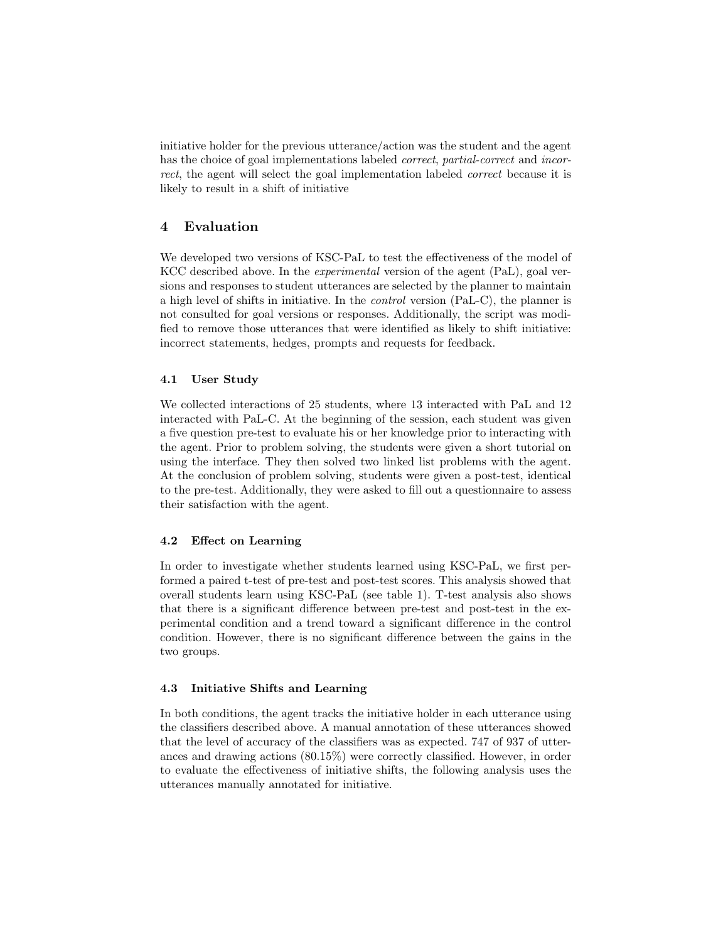initiative holder for the previous utterance/action was the student and the agent has the choice of goal implementations labeled *correct*, partial-correct and *incor*rect, the agent will select the goal implementation labeled correct because it is likely to result in a shift of initiative

# 4 Evaluation

We developed two versions of KSC-PaL to test the effectiveness of the model of KCC described above. In the experimental version of the agent (PaL), goal versions and responses to student utterances are selected by the planner to maintain a high level of shifts in initiative. In the control version (PaL-C), the planner is not consulted for goal versions or responses. Additionally, the script was modified to remove those utterances that were identified as likely to shift initiative: incorrect statements, hedges, prompts and requests for feedback.

#### 4.1 User Study

We collected interactions of 25 students, where 13 interacted with PaL and 12 interacted with PaL-C. At the beginning of the session, each student was given a five question pre-test to evaluate his or her knowledge prior to interacting with the agent. Prior to problem solving, the students were given a short tutorial on using the interface. They then solved two linked list problems with the agent. At the conclusion of problem solving, students were given a post-test, identical to the pre-test. Additionally, they were asked to fill out a questionnaire to assess their satisfaction with the agent.

### 4.2 Effect on Learning

In order to investigate whether students learned using KSC-PaL, we first performed a paired t-test of pre-test and post-test scores. This analysis showed that overall students learn using KSC-PaL (see table 1). T-test analysis also shows that there is a significant difference between pre-test and post-test in the experimental condition and a trend toward a significant difference in the control condition. However, there is no significant difference between the gains in the two groups.

### 4.3 Initiative Shifts and Learning

In both conditions, the agent tracks the initiative holder in each utterance using the classifiers described above. A manual annotation of these utterances showed that the level of accuracy of the classifiers was as expected. 747 of 937 of utterances and drawing actions (80.15%) were correctly classified. However, in order to evaluate the effectiveness of initiative shifts, the following analysis uses the utterances manually annotated for initiative.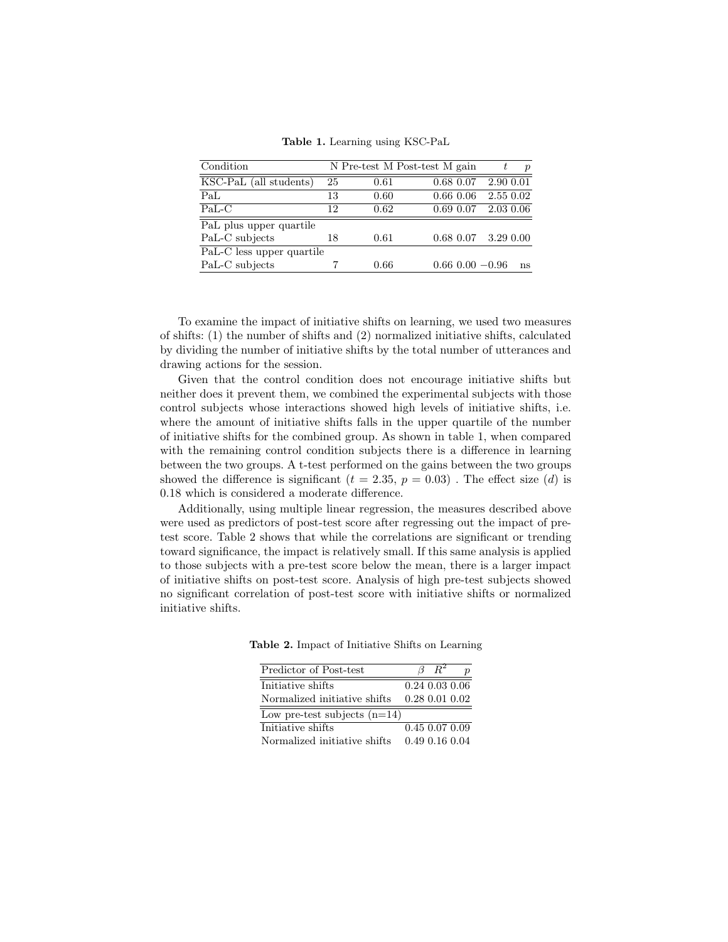Table 1. Learning using KSC-PaL

| Condition                 |    | N Pre-test M Post-test M gain |           |                      | t.        | $\boldsymbol{p}$ |
|---------------------------|----|-------------------------------|-----------|----------------------|-----------|------------------|
| KSC-PaL (all students)    | 25 | 0.61                          | 0.68 0.07 |                      | 2.90 0.01 |                  |
| PaL                       | 13 | 0.60                          |           | $0.66$ $0.06$        | 2.55 0.02 |                  |
| $PaL-C$                   | 12 | 0.62                          | 0.69 0.07 |                      |           | 2.03 0.06        |
| PaL plus upper quartile   |    |                               |           |                      |           |                  |
| PaL-C subjects            | 18 | 0.61                          |           | 0.68 0.07            | 3.29 0.00 |                  |
| PaL-C less upper quartile |    |                               |           |                      |           |                  |
| PaL-C subjects            |    | 0.66                          |           | $0.66$ $0.00 - 0.96$ |           | ns               |

To examine the impact of initiative shifts on learning, we used two measures of shifts: (1) the number of shifts and (2) normalized initiative shifts, calculated by dividing the number of initiative shifts by the total number of utterances and drawing actions for the session.

Given that the control condition does not encourage initiative shifts but neither does it prevent them, we combined the experimental subjects with those control subjects whose interactions showed high levels of initiative shifts, i.e. where the amount of initiative shifts falls in the upper quartile of the number of initiative shifts for the combined group. As shown in table 1, when compared with the remaining control condition subjects there is a difference in learning between the two groups. A t-test performed on the gains between the two groups showed the difference is significant ( $t = 2.35$ ,  $p = 0.03$ ). The effect size (d) is 0.18 which is considered a moderate difference.

Additionally, using multiple linear regression, the measures described above were used as predictors of post-test score after regressing out the impact of pretest score. Table 2 shows that while the correlations are significant or trending toward significance, the impact is relatively small. If this same analysis is applied to those subjects with a pre-test score below the mean, there is a larger impact of initiative shifts on post-test score. Analysis of high pre-test subjects showed no significant correlation of post-test score with initiative shifts or normalized initiative shifts.

| Predictor of Post-test         |                    |  |  |  |
|--------------------------------|--------------------|--|--|--|
| Initiative shifts              | $0.24\ 0.03\ 0.06$ |  |  |  |
| Normalized initiative shifts   | $0.28\ 0.01\ 0.02$ |  |  |  |
| Low pre-test subjects $(n=14)$ |                    |  |  |  |
| Initiative shifts              | 0.45 0.07 0.09     |  |  |  |
| Normalized initiative shifts   | 0.49 0.16 0.04     |  |  |  |

Table 2. Impact of Initiative Shifts on Learning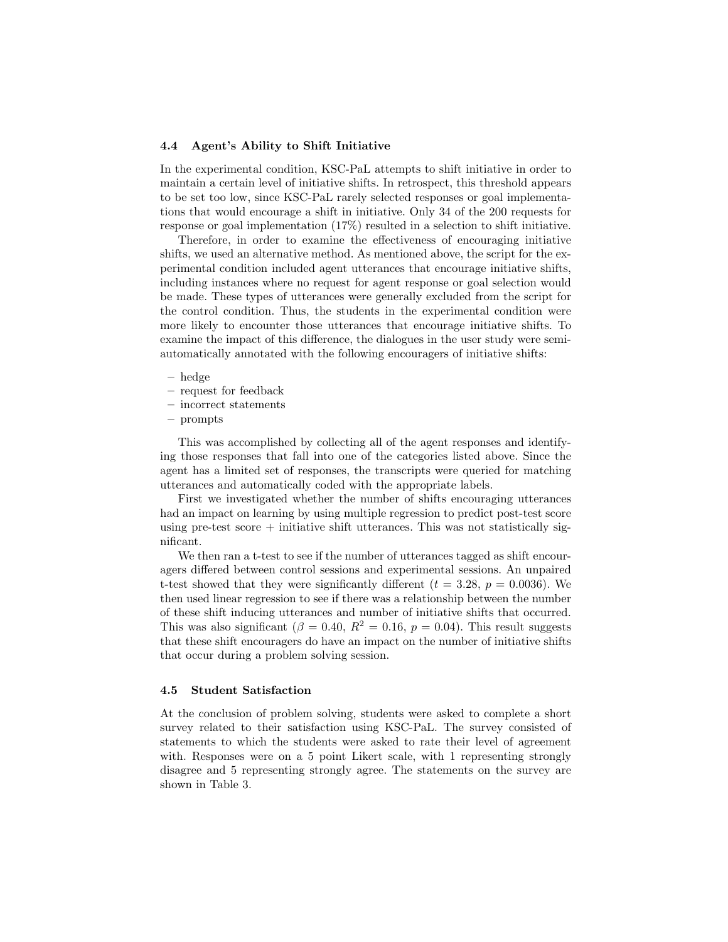#### 4.4 Agent's Ability to Shift Initiative

In the experimental condition, KSC-PaL attempts to shift initiative in order to maintain a certain level of initiative shifts. In retrospect, this threshold appears to be set too low, since KSC-PaL rarely selected responses or goal implementations that would encourage a shift in initiative. Only 34 of the 200 requests for response or goal implementation (17%) resulted in a selection to shift initiative.

Therefore, in order to examine the effectiveness of encouraging initiative shifts, we used an alternative method. As mentioned above, the script for the experimental condition included agent utterances that encourage initiative shifts, including instances where no request for agent response or goal selection would be made. These types of utterances were generally excluded from the script for the control condition. Thus, the students in the experimental condition were more likely to encounter those utterances that encourage initiative shifts. To examine the impact of this difference, the dialogues in the user study were semiautomatically annotated with the following encouragers of initiative shifts:

- hedge
- request for feedback
- incorrect statements
- prompts

This was accomplished by collecting all of the agent responses and identifying those responses that fall into one of the categories listed above. Since the agent has a limited set of responses, the transcripts were queried for matching utterances and automatically coded with the appropriate labels.

First we investigated whether the number of shifts encouraging utterances had an impact on learning by using multiple regression to predict post-test score using pre-test score  $+$  initiative shift utterances. This was not statistically significant.

We then ran a t-test to see if the number of utterances tagged as shift encouragers differed between control sessions and experimental sessions. An unpaired t-test showed that they were significantly different ( $t = 3.28$ ,  $p = 0.0036$ ). We then used linear regression to see if there was a relationship between the number of these shift inducing utterances and number of initiative shifts that occurred. This was also significant ( $\beta = 0.40$ ,  $R^2 = 0.16$ ,  $p = 0.04$ ). This result suggests that these shift encouragers do have an impact on the number of initiative shifts that occur during a problem solving session.

#### 4.5 Student Satisfaction

At the conclusion of problem solving, students were asked to complete a short survey related to their satisfaction using KSC-PaL. The survey consisted of statements to which the students were asked to rate their level of agreement with. Responses were on a 5 point Likert scale, with 1 representing strongly disagree and 5 representing strongly agree. The statements on the survey are shown in Table 3.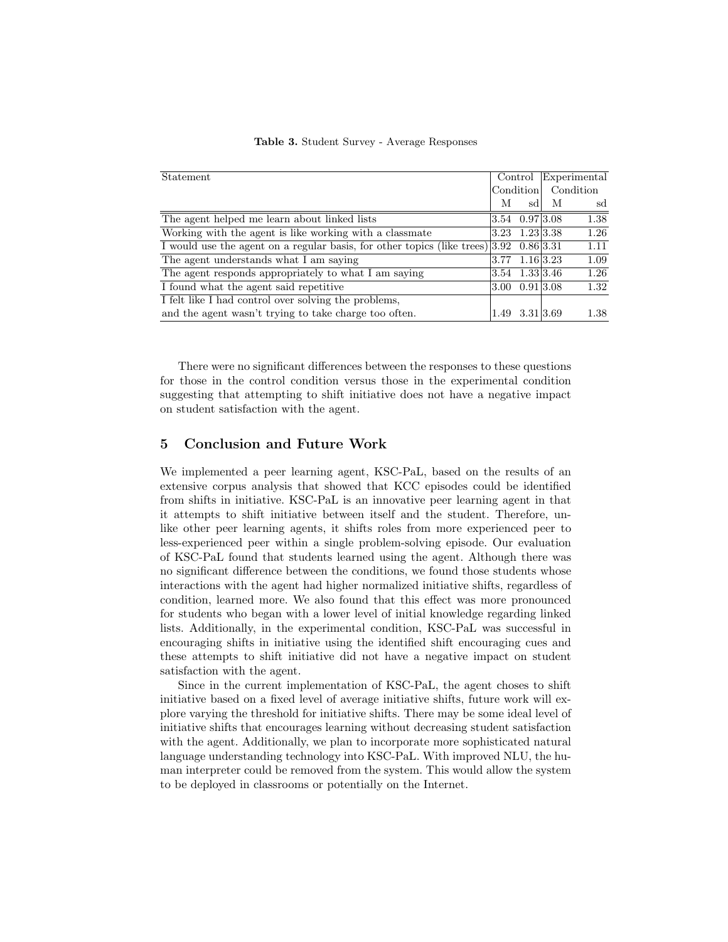| Table 3. Student Survey - Average Responses |  |  |  |  |
|---------------------------------------------|--|--|--|--|
|---------------------------------------------|--|--|--|--|

| Statement                                                                    |                     | Control   |           | Experimental |
|------------------------------------------------------------------------------|---------------------|-----------|-----------|--------------|
|                                                                              | Condition           |           | Condition |              |
|                                                                              | М                   | sd        | М         | sd           |
| The agent helped me learn about linked lists                                 | 3.54 0.97 3.08      |           |           | 1.38         |
| Working with the agent is like working with a classmate                      | $ 3.23 \t1.23 3.38$ |           |           | 1.26         |
| I would use the agent on a regular basis, for other topics (like trees) 3.92 |                     | 0.86 3.31 |           | 1.11         |
| The agent understands what I am saying                                       | 3.77                | 1.16 3.23 |           | 1.09         |
| The agent responds appropriately to what I am saying                         | 3.54 1.33 3.46      |           |           | 1.26         |
| I found what the agent said repetitive                                       | 3.00                | 0.91 3.08 |           | 1.32         |
| I felt like I had control over solving the problems,                         |                     |           |           |              |
| and the agent wasn't trying to take charge too often.                        | 1.49                | 3.31 3.69 |           | $1.38\,$     |

There were no significant differences between the responses to these questions for those in the control condition versus those in the experimental condition suggesting that attempting to shift initiative does not have a negative impact on student satisfaction with the agent.

# 5 Conclusion and Future Work

We implemented a peer learning agent, KSC-PaL, based on the results of an extensive corpus analysis that showed that KCC episodes could be identified from shifts in initiative. KSC-PaL is an innovative peer learning agent in that it attempts to shift initiative between itself and the student. Therefore, unlike other peer learning agents, it shifts roles from more experienced peer to less-experienced peer within a single problem-solving episode. Our evaluation of KSC-PaL found that students learned using the agent. Although there was no significant difference between the conditions, we found those students whose interactions with the agent had higher normalized initiative shifts, regardless of condition, learned more. We also found that this effect was more pronounced for students who began with a lower level of initial knowledge regarding linked lists. Additionally, in the experimental condition, KSC-PaL was successful in encouraging shifts in initiative using the identified shift encouraging cues and these attempts to shift initiative did not have a negative impact on student satisfaction with the agent.

Since in the current implementation of KSC-PaL, the agent choses to shift initiative based on a fixed level of average initiative shifts, future work will explore varying the threshold for initiative shifts. There may be some ideal level of initiative shifts that encourages learning without decreasing student satisfaction with the agent. Additionally, we plan to incorporate more sophisticated natural language understanding technology into KSC-PaL. With improved NLU, the human interpreter could be removed from the system. This would allow the system to be deployed in classrooms or potentially on the Internet.